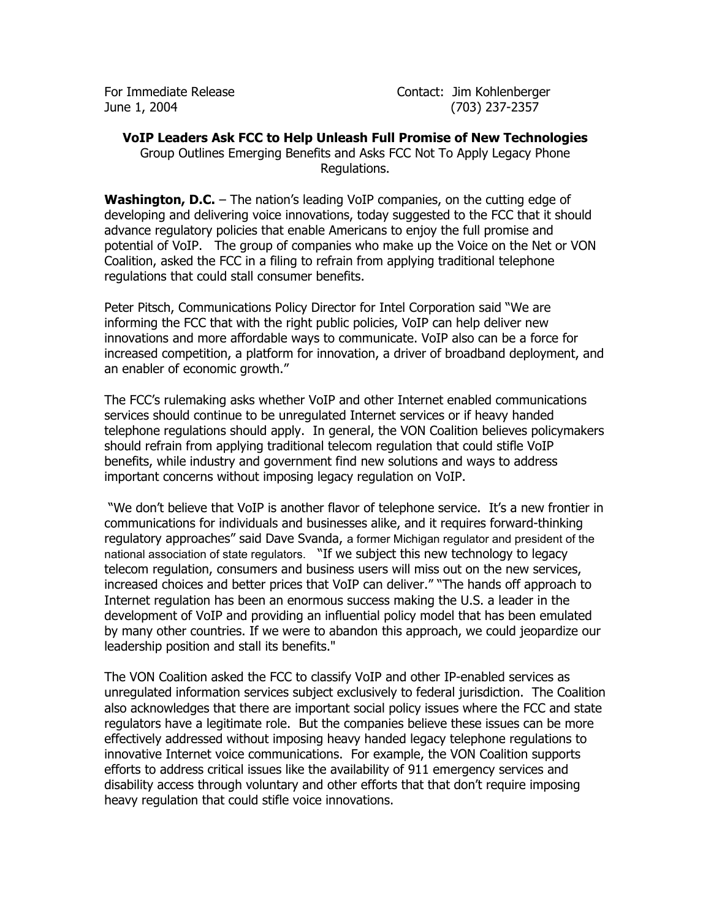For Immediate Release **Contact:** Jim Kohlenberger June 1, 2004 (703) 237-2357

## **VoIP Leaders Ask FCC to Help Unleash Full Promise of New Technologies**

Group Outlines Emerging Benefits and Asks FCC Not To Apply Legacy Phone Regulations.

**Washington, D.C.** – The nation's leading VoIP companies, on the cutting edge of developing and delivering voice innovations, today suggested to the FCC that it should advance regulatory policies that enable Americans to enjoy the full promise and potential of VoIP. The group of companies who make up the Voice on the Net or VON Coalition, asked the FCC in a filing to refrain from applying traditional telephone regulations that could stall consumer benefits.

Peter Pitsch, Communications Policy Director for Intel Corporation said "We are informing the FCC that with the right public policies, VoIP can help deliver new innovations and more affordable ways to communicate. VoIP also can be a force for increased competition, a platform for innovation, a driver of broadband deployment, and an enabler of economic growth."

The FCC's rulemaking asks whether VoIP and other Internet enabled communications services should continue to be unregulated Internet services or if heavy handed telephone regulations should apply. In general, the VON Coalition believes policymakers should refrain from applying traditional telecom regulation that could stifle VoIP benefits, while industry and government find new solutions and ways to address important concerns without imposing legacy regulation on VoIP.

 "We don't believe that VoIP is another flavor of telephone service. It's a new frontier in communications for individuals and businesses alike, and it requires forward-thinking regulatory approaches" said Dave Svanda, a former Michigan regulator and president of the national association of state regulators. "If we subject this new technology to legacy telecom regulation, consumers and business users will miss out on the new services, increased choices and better prices that VoIP can deliver." "The hands off approach to Internet regulation has been an enormous success making the U.S. a leader in the development of VoIP and providing an influential policy model that has been emulated by many other countries. If we were to abandon this approach, we could jeopardize our leadership position and stall its benefits."

The VON Coalition asked the FCC to classify VoIP and other IP-enabled services as unregulated information services subject exclusively to federal jurisdiction. The Coalition also acknowledges that there are important social policy issues where the FCC and state regulators have a legitimate role. But the companies believe these issues can be more effectively addressed without imposing heavy handed legacy telephone regulations to innovative Internet voice communications. For example, the VON Coalition supports efforts to address critical issues like the availability of 911 emergency services and disability access through voluntary and other efforts that that don't require imposing heavy regulation that could stifle voice innovations.